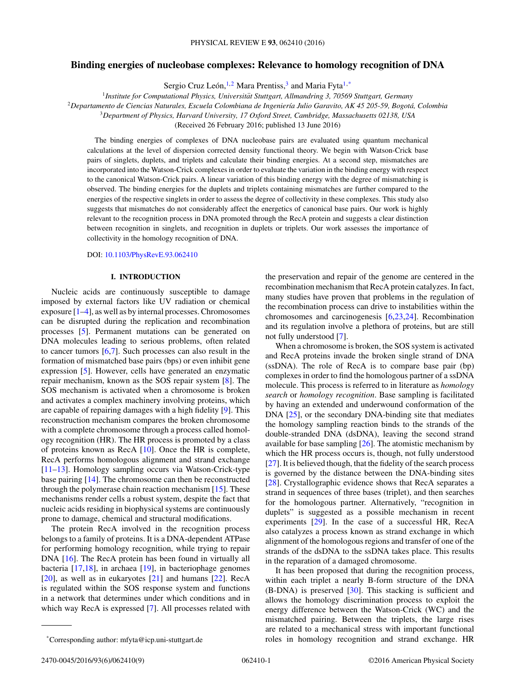# **Binding energies of nucleobase complexes: Relevance to homology recognition of DNA**

Sergio Cruz León, <sup>1,2</sup> Mara Prentiss,<sup>3</sup> and Maria Fyta<sup>1,\*</sup>

<sup>1</sup>*Institute for Computational Physics, Universitat Stuttgart, Allmandring 3, 70569 Stuttgart, Germany ¨*

<sup>2</sup>*Departamento de Ciencias Naturales, Escuela Colombiana de Ingenier´ıa Julio Garavito, AK 45 205-59, Bogota, Colombia ´*

<sup>3</sup>*Department of Physics, Harvard University, 17 Oxford Street, Cambridge, Massachusetts 02138, USA*

(Received 26 February 2016; published 13 June 2016)

The binding energies of complexes of DNA nucleobase pairs are evaluated using quantum mechanical calculations at the level of dispersion corrected density functional theory. We begin with Watson-Crick base pairs of singlets, duplets, and triplets and calculate their binding energies. At a second step, mismatches are incorporated into the Watson-Crick complexes in order to evaluate the variation in the binding energy with respect to the canonical Watson-Crick pairs. A linear variation of this binding energy with the degree of mismatching is observed. The binding energies for the duplets and triplets containing mismatches are further compared to the energies of the respective singlets in order to assess the degree of collectivity in these complexes. This study also suggests that mismatches do not considerably affect the energetics of canonical base pairs. Our work is highly relevant to the recognition process in DNA promoted through the RecA protein and suggests a clear distinction between recognition in singlets, and recognition in duplets or triplets. Our work assesses the importance of collectivity in the homology recognition of DNA.

DOI: [10.1103/PhysRevE.93.062410](http://dx.doi.org/10.1103/PhysRevE.93.062410)

### **I. INTRODUCTION**

Nucleic acids are continuously susceptible to damage imposed by external factors like UV radiation or chemical exposure [\[1–4\]](#page-7-0), as well as by internal processes. Chromosomes can be disrupted during the replication and recombination processes [\[5\]](#page-7-0). Permanent mutations can be generated on DNA molecules leading to serious problems, often related to cancer tumors [\[6,7\]](#page-7-0). Such processes can also result in the formation of mismatched base pairs (bps) or even inhibit gene expression [\[5\]](#page-7-0). However, cells have generated an enzymatic repair mechanism, known as the SOS repair system [\[8\]](#page-7-0). The SOS mechanism is activated when a chromosome is broken and activates a complex machinery involving proteins, which are capable of repairing damages with a high fidelity [\[9\]](#page-7-0). This reconstruction mechanism compares the broken chromosome with a complete chromosome through a process called homology recognition (HR). The HR process is promoted by a class of proteins known as RecA [\[10\]](#page-7-0). Once the HR is complete, RecA performs homologous alignment and strand exchange [\[11–13\]](#page-7-0). Homology sampling occurs via Watson-Crick-type base pairing [\[14\]](#page-7-0). The chromosome can then be reconstructed through the polymerase chain reaction mechanism [\[15\]](#page-7-0). These mechanisms render cells a robust system, despite the fact that nucleic acids residing in biophysical systems are continuously prone to damage, chemical and structural modifications.

The protein RecA involved in the recognition process belongs to a family of proteins. It is a DNA-dependent ATPase for performing homology recognition, while trying to repair DNA [\[16\]](#page-7-0). The RecA protein has been found in virtually all bacteria [\[17,18\]](#page-7-0), in archaea [\[19\]](#page-7-0), in bacteriophage genomes [\[20\]](#page-7-0), as well as in eukaryotes [\[21\]](#page-7-0) and humans [\[22\]](#page-7-0). RecA is regulated within the SOS response system and functions in a network that determines under which conditions and in which way RecA is expressed [\[7\]](#page-7-0). All processes related with

the preservation and repair of the genome are centered in the recombination mechanism that RecA protein catalyzes. In fact, many studies have proven that problems in the regulation of the recombination process can drive to instabilities within the chromosomes and carcinogenesis [\[6,23,24\]](#page-7-0). Recombination and its regulation involve a plethora of proteins, but are still not fully understood [\[7\]](#page-7-0).

When a chromosome is broken, the SOS system is activated and RecA proteins invade the broken single strand of DNA (ssDNA). The role of RecA is to compare base pair (bp) complexes in order to find the homologous partner of a ssDNA molecule. This process is referred to in literature as *homology search* or *homology recognition*. Base sampling is facilitated by having an extended and underwound conformation of the DNA [\[25\]](#page-7-0), or the secondary DNA-binding site that mediates the homology sampling reaction binds to the strands of the double-stranded DNA (dsDNA), leaving the second strand available for base sampling  $[26]$ . The atomistic mechanism by which the HR process occurs is, though, not fully understood [\[27\]](#page-7-0). It is believed though, that the fidelity of the search process is governed by the distance between the DNA-binding sites [\[28\]](#page-7-0). Crystallographic evidence shows that RecA separates a strand in sequences of three bases (triplet), and then searches for the homologous partner. Alternatively, "recognition in duplets" is suggested as a possible mechanism in recent experiments [\[29\]](#page-7-0). In the case of a successful HR, RecA also catalyzes a process known as strand exchange in which alignment of the homologous regions and transfer of one of the strands of the dsDNA to the ssDNA takes place. This results in the reparation of a damaged chromosome.

It has been proposed that during the recognition process, within each triplet a nearly B-form structure of the DNA (B-DNA) is preserved [\[30\]](#page-7-0). This stacking is sufficient and allows the homology discrimination process to exploit the energy difference between the Watson-Crick (WC) and the mismatched pairing. Between the triplets, the large rises are related to a mechanical stress with important functional roles in homology recognition and strand exchange. HR

<sup>\*</sup>Corresponding author: mfyta@icp.uni-stuttgart.de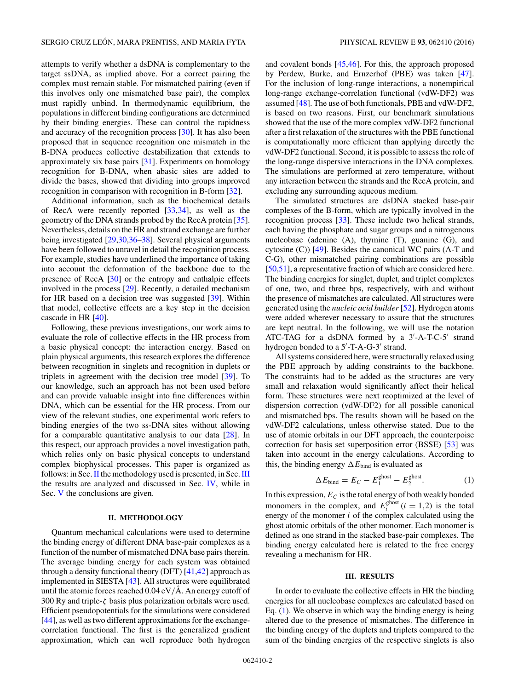<span id="page-1-0"></span>attempts to verify whether a dsDNA is complementary to the target ssDNA, as implied above. For a correct pairing the complex must remain stable. For mismatched pairing (even if this involves only one mismatched base pair), the complex must rapidly unbind. In thermodynamic equilibrium, the populations in different binding configurations are determined by their binding energies. These can control the rapidness and accuracy of the recognition process [\[30\]](#page-7-0). It has also been proposed that in sequence recognition one mismatch in the B-DNA produces collective destabilization that extends to approximately six base pairs [\[31\]](#page-7-0). Experiments on homology recognition for B-DNA, when abasic sites are added to divide the bases, showed that dividing into groups improved recognition in comparison with recognition in B-form [\[32\]](#page-7-0).

Additional information, such as the biochemical details of RecA were recently reported [\[33,34\]](#page-7-0), as well as the geometry of the DNA strands probed by the RecA protein [\[35\]](#page-7-0). Nevertheless, details on the HR and strand exchange are further being investigated [\[29,30,36–38\]](#page-7-0). Several physical arguments have been followed to unravel in detail the recognition process. For example, studies have underlined the importance of taking into account the deformation of the backbone due to the presence of RecA [\[30\]](#page-7-0) or the entropy and enthalpic effects involved in the process [\[29\]](#page-7-0). Recently, a detailed mechanism for HR based on a decision tree was suggested [\[39\]](#page-7-0). Within that model, collective effects are a key step in the decision cascade in HR [\[40\]](#page-7-0).

Following, these previous investigations, our work aims to evaluate the role of collective effects in the HR process from a basic physical concept: the interaction energy. Based on plain physical arguments, this research explores the difference between recognition in singlets and recognition in duplets or triplets in agreement with the decision tree model [\[39\]](#page-7-0). To our knowledge, such an approach has not been used before and can provide valuable insight into fine differences within DNA, which can be essential for the HR process. From our view of the relevant studies, one experimental work refers to binding energies of the two ss-DNA sites without allowing for a comparable quantitative analysis to our data [\[28\]](#page-7-0). In this respect, our approach provides a novel investigation path, which relies only on basic physical concepts to understand complex biophysical processes. This paper is organized as follows: in Sec.  $\Pi$  the methodology used is presented, in Sec.  $\Pi$ the results are analyzed and discussed in Sec. [IV,](#page-5-0) while in Sec. [V](#page-6-0) the conclusions are given.

# **II. METHODOLOGY**

Quantum mechanical calculations were used to determine the binding energy of different DNA base-pair complexes as a function of the number of mismatched DNA base pairs therein. The average binding energy for each system was obtained through a density functional theory (DFT)  $[41, 42]$  approach as implemented in SIESTA [\[43\]](#page-7-0). All structures were equilibrated until the atomic forces reached  $0.04 \text{ eV/A}$ . An energy cutoff of 300 Ry and triple-*ζ* basis plus polarization orbitals were used. Efficient pseudopotentials for the simulations were considered [\[44\]](#page-7-0), as well as two different approximations for the exchangecorrelation functional. The first is the generalized gradient approximation, which can well reproduce both hydrogen

and covalent bonds [\[45,46\]](#page-7-0). For this, the approach proposed by Perdew, Burke, and Ernzerhof (PBE) was taken [\[47\]](#page-7-0). For the inclusion of long-range interactions, a nonempirical long-range exchange-correlation functional (vdW-DF2) was assumed [\[48\]](#page-7-0). The use of both functionals, PBE and vdW-DF2, is based on two reasons. First, our benchmark simulations showed that the use of the more complex vdW-DF2 functional after a first relaxation of the structures with the PBE functional is computationally more efficient than applying directly the vdW-DF2 functional. Second, it is possible to assess the role of the long-range dispersive interactions in the DNA complexes. The simulations are performed at zero temperature, without any interaction between the strands and the RecA protein, and excluding any surrounding aqueous medium.

The simulated structures are dsDNA stacked base-pair complexes of the B-form, which are typically involved in the recognition process [\[33\]](#page-7-0). These include two helical strands, each having the phosphate and sugar groups and a nitrogenous nucleobase (adenine (A), thymine (T), guanine (G), and cytosine (C)) [\[49\]](#page-7-0). Besides the canonical WC pairs (A-T and C-G), other mismatched pairing combinations are possible [\[50,](#page-7-0)[51\]](#page-8-0), a representative fraction of which are considered here. The binding energies for singlet, duplet, and triplet complexes of one, two, and three bps, respectively, with and without the presence of mismatches are calculated. All structures were generated using the *nucleic acid builder*[\[52\]](#page-8-0). Hydrogen atoms were added wherever necessary to assure that the structures are kept neutral. In the following, we will use the notation ATC-TAG for a dsDNA formed by a  $3'$ -A-T-C-5' strand hydrogen bonded to a 5'-T-A-G-3' strand.

All systems considered here, were structurally relaxed using the PBE approach by adding constraints to the backbone. The constraints had to be added as the structures are very small and relaxation would significantly affect their helical form. These structures were next reoptimized at the level of dispersion correction (vdW-DF2) for all possible canonical and mismatched bps. The results shown will be based on the vdW-DF2 calculations, unless otherwise stated. Due to the use of atomic orbitals in our DFT approach, the counterpoise correction for basis set superposition error (BSSE) [\[53\]](#page-8-0) was taken into account in the energy calculations. According to this, the binding energy  $\Delta E_{bind}$  is evaluated as

$$
\Delta E_{\text{bind}} = E_C - E_1^{\text{ghost}} - E_2^{\text{ghost}}.\tag{1}
$$

In this expression,  $E_C$  is the total energy of both weakly bonded monomers in the complex, and  $E_i^{\text{ghost}}$  (*i* = 1,2) is the total energy of the monomer *i* of the complex calculated using the ghost atomic orbitals of the other monomer. Each monomer is defined as one strand in the stacked base-pair complexes. The binding energy calculated here is related to the free energy revealing a mechanism for HR.

### **III. RESULTS**

In order to evaluate the collective effects in HR the binding energies for all nucleobase complexes are calculated based on Eq. (1). We observe in which way the binding energy is being altered due to the presence of mismatches. The difference in the binding energy of the duplets and triplets compared to the sum of the binding energies of the respective singlets is also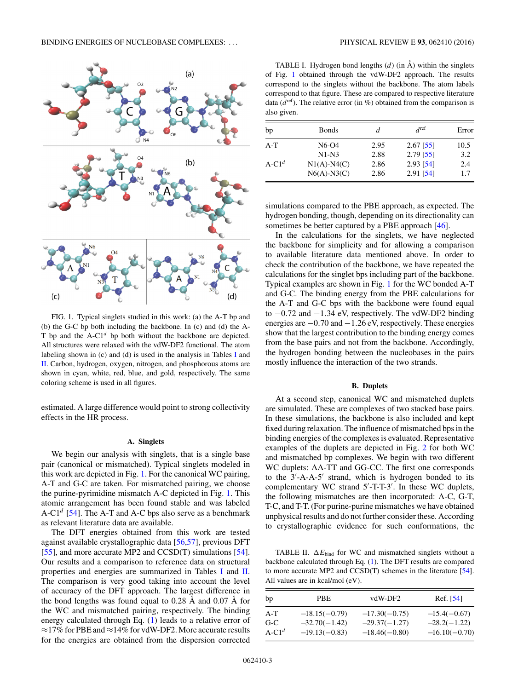<span id="page-2-0"></span>

FIG. 1. Typical singlets studied in this work: (a) the A-T bp and (b) the G-C bp both including the backbone. In (c) and (d) the A-T bp and the  $A-C1<sup>d</sup>$  bp both without the backbone are depicted. All structures were relaxed with the vdW-DF2 functional. The atom labeling shown in  $(c)$  and  $(d)$  is used in the analysis in Tables I and II. Carbon, hydrogen, oxygen, nitrogen, and phosphorous atoms are shown in cyan, white, red, blue, and gold, respectively. The same coloring scheme is used in all figures.

estimated. A large difference would point to strong collectivity effects in the HR process.

# **A. Singlets**

We begin our analysis with singlets, that is a single base pair (canonical or mismatched). Typical singlets modeled in this work are depicted in Fig. 1. For the canonical WC pairing, A-T and G-C are taken. For mismatched pairing, we choose the purine-pyrimidine mismatch A-C depicted in Fig. 1. This atomic arrangement has been found stable and was labeled A-C1<sup>d</sup> [\[54\]](#page-8-0). The A-T and A-C bps also serve as a benchmark as relevant literature data are available.

The DFT energies obtained from this work are tested against available crystallographic data [\[56,57\]](#page-8-0), previous DFT [\[55\]](#page-8-0), and more accurate MP2 and CCSD(T) simulations [\[54\]](#page-8-0). Our results and a comparison to reference data on structural properties and energies are summarized in Tables I and II. The comparison is very good taking into account the level of accuracy of the DFT approach. The largest difference in the bond lengths was found equal to  $0.28 \text{ Å}$  and  $0.07 \text{ Å}$  for the WC and mismatched pairing, respectively. The binding energy calculated through Eq. [\(1\)](#page-1-0) leads to a relative error of  $\approx$ 17% for PBE and  $\approx$ 14% for vdW-DF2. More accurate results for the energies are obtained from the dispersion corrected

TABLE I. Hydrogen bond lengths  $(d)$  (in  $\AA$ ) within the singlets of Fig. 1 obtained through the vdW-DF2 approach. The results correspond to the singlets without the backbone. The atom labels correspond to that figure. These are compared to respective literature data ( $d^{\text{ref}}$ ). The relative error (in %) obtained from the comparison is also given.

| bp       | <b>Bonds</b>  | d    | $d^{\text{ref}}$ | Error |
|----------|---------------|------|------------------|-------|
| $A-T$    | N6-04         | 2.95 | $2.67$ [55]      | 10.5  |
|          | $N1-N3$       | 2.88 | $2.79$ [55]      | 3.2   |
| $A-C1^d$ | $N1(A)-N4(C)$ | 2.86 | $2.93$ [54]      | 2.4   |
|          | $N6(A)-N3(C)$ | 2.86 | $2.91$ [54]      | 1.7   |

simulations compared to the PBE approach, as expected. The hydrogen bonding, though, depending on its directionality can sometimes be better captured by a PBE approach [\[46\]](#page-7-0).

In the calculations for the singlets, we have neglected the backbone for simplicity and for allowing a comparison to available literature data mentioned above. In order to check the contribution of the backbone, we have repeated the calculations for the singlet bps including part of the backbone. Typical examples are shown in Fig. 1 for the WC bonded A-T and G-C. The binding energy from the PBE calculations for the A-T and G-C bps with the backbone were found equal to −0*.*72 and −1*.*34 eV, respectively. The vdW-DF2 binding energies are −0*.*70 and −1*.*26 eV, respectively. These energies show that the largest contribution to the binding energy comes from the base pairs and not from the backbone. Accordingly, the hydrogen bonding between the nucleobases in the pairs mostly influence the interaction of the two strands.

#### **B. Duplets**

At a second step, canonical WC and mismatched duplets are simulated. These are complexes of two stacked base pairs. In these simulations, the backbone is also included and kept fixed during relaxation. The influence of mismatched bps in the binding energies of the complexes is evaluated. Representative examples of the duplets are depicted in Fig. [2](#page-3-0) for both WC and mismatched bp complexes. We begin with two different WC duplets: AA-TT and GG-CC. The first one corresponds to the 3'-A-A-5' strand, which is hydrogen bonded to its complementary WC strand 5'-T-T-3'. In these WC duplets, the following mismatches are then incorporated: A-C, G-T, T-C, and T-T. (For purine-purine mismatches we have obtained unphysical results and do not further consider these. According to crystallographic evidence for such conformations, the

TABLE II.  $\Delta E_{bind}$  for WC and mismatched singlets without a backbone calculated through Eq. [\(1\)](#page-1-0). The DFT results are compared to more accurate MP2 and CCSD(T) schemes in the literature [\[54\]](#page-8-0). All values are in kcal/mol (eV).

| bp       | PBE.            | vdW-DF2         | Ref. [54]       |
|----------|-----------------|-----------------|-----------------|
| $A-T$    | $-18.15(-0.79)$ | $-17.30(-0.75)$ | $-15.4(-0.67)$  |
| G-C      | $-32.70(-1.42)$ | $-29.37(-1.27)$ | $-28.2(-1.22)$  |
| $A-C1^d$ | $-19.13(-0.83)$ | $-18.46(-0.80)$ | $-16.10(-0.70)$ |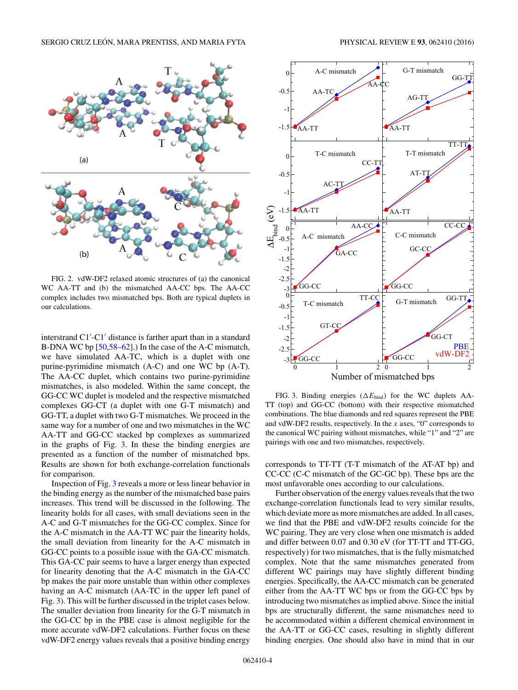<span id="page-3-0"></span>

FIG. 2. vdW-DF2 relaxed atomic structures of (a) the canonical WC AA-TT and (b) the mismatched AA-CC bps. The AA-CC complex includes two mismatched bps. Both are typical duplets in our calculations.

interstrand C1'-C1' distance is farther apart than in a standard B-DNA WC bp [\[50](#page-7-0)[,58–62\]](#page-8-0).) In the case of the A-C mismatch, we have simulated AA-TC, which is a duplet with one purine-pyrimidine mismatch (A-C) and one WC bp (A-T). The AA-CC duplet, which contains two purine-pyrimidine mismatches, is also modeled. Within the same concept, the GG-CC WC duplet is modeled and the respective mismatched complexes GG-CT (a duplet with one G-T mismatch) and GG-TT, a duplet with two G-T mismatches. We proceed in the same way for a number of one and two mismatches in the WC AA-TT and GG-CC stacked bp complexes as summarized in the graphs of Fig. 3. In these the binding energies are presented as a function of the number of mismatched bps. Results are shown for both exchange-correlation functionals for comparison.

Inspection of Fig. 3 reveals a more or less linear behavior in the binding energy as the number of the mismatched base pairs increases. This trend will be discussed in the following. The linearity holds for all cases, with small deviations seen in the A-C and G-T mismatches for the GG-CC complex. Since for the A-C mismatch in the AA-TT WC pair the linearity holds, the small deviation from linearity for the A-C mismatch in GG-CC points to a possible issue with the GA-CC mismatch. This GA-CC pair seems to have a larger energy than expected for linearity denoting that the A-C mismatch in the GA-CC bp makes the pair more unstable than within other complexes having an A-C mismatch (AA-TC in the upper left panel of Fig. 3). This will be further discussed in the triplet cases below. The smaller deviation from linearity for the G-T mismatch in the GG-CC bp in the PBE case is almost negligible for the more accurate vdW-DF2 calculations. Further focus on these vdW-DF2 energy values reveals that a positive binding energy



FIG. 3. Binding energies  $(\Delta E_{bind})$  for the WC duplets AA-TT (top) and GG-CC (bottom) with their respective mismatched combinations. The blue diamonds and red squares represent the PBE and vdW-DF2 results, respectively. In the *x* axes, "0" corresponds to the canonical WC pairing without mismatches, while "1" and "2" are pairings with one and two mismatches, respectively.

corresponds to TT-TT (T-T mismatch of the AT-AT bp) and CC-CC (C-C mismatch of the GC-GC bp). These bps are the most unfavorable ones according to our calculations.

Further observation of the energy values reveals that the two exchange-correlation functionals lead to very similar results, which deviate more as more mismatches are added. In all cases, we find that the PBE and vdW-DF2 results coincide for the WC pairing. They are very close when one mismatch is added and differ between 0.07 and 0.30 eV (for TT-TT and TT-GG, respectively) for two mismatches, that is the fully mismatched complex. Note that the same mismatches generated from different WC pairings may have slightly different binding energies. Specifically, the AA-CC mismatch can be generated either from the AA-TT WC bps or from the GG-CC bps by introducing two mismatches as implied above. Since the initial bps are structurally different, the same mismatches need to be accommodated within a different chemical environment in the AA-TT or GG-CC cases, resulting in slightly different binding energies. One should also have in mind that in our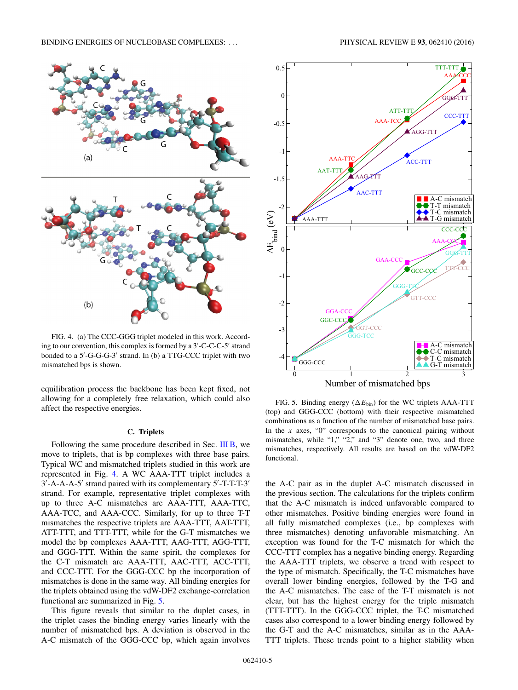<span id="page-4-0"></span>

FIG. 4. (a) The CCC-GGG triplet modeled in this work. According to our convention, this complex is formed by a 3'-C-C-C-5' strand bonded to a 5'-G-G-G-3' strand. In (b) a TTG-CCC triplet with two mismatched bps is shown.

equilibration process the backbone has been kept fixed, not allowing for a completely free relaxation, which could also affect the respective energies.

# **C. Triplets**

Following the same procedure described in Sec. [III B,](#page-2-0) we move to triplets, that is bp complexes with three base pairs. Typical WC and mismatched triplets studied in this work are represented in Fig. 4. A WC AAA-TTT triplet includes a 3'-A-A-A-5' strand paired with its complementary 5'-T-T-T-3' strand. For example, representative triplet complexes with up to three A-C mismatches are AAA-TTT, AAA-TTC, AAA-TCC, and AAA-CCC. Similarly, for up to three T-T mismatches the respective triplets are AAA-TTT, AAT-TTT, ATT-TTT, and TTT-TTT, while for the G-T mismatches we model the bp complexes AAA-TTT, AAG-TTT, AGG-TTT, and GGG-TTT. Within the same spirit, the complexes for the C-T mismatch are AAA-TTT, AAC-TTT, ACC-TTT, and CCC-TTT. For the GGG-CCC bp the incorporation of mismatches is done in the same way. All binding energies for the triplets obtained using the vdW-DF2 exchange-correlation functional are summarized in Fig. 5.

This figure reveals that similar to the duplet cases, in the triplet cases the binding energy varies linearly with the number of mismatched bps. A deviation is observed in the A-C mismatch of the GGG-CCC bp, which again involves



FIG. 5. Binding energy  $(\Delta E_{\text{bin}})$  for the WC triplets AAA-TTT (top) and GGG-CCC (bottom) with their respective mismatched combinations as a function of the number of mismatched base pairs. In the  $x$  axes, " $0$ " corresponds to the canonical pairing without mismatches, while "1," "2," and "3" denote one, two, and three mismatches, respectively. All results are based on the vdW-DF2 functional.

the A-C pair as in the duplet A-C mismatch discussed in the previous section. The calculations for the triplets confirm that the A-C mismatch is indeed unfavorable compared to other mismatches. Positive binding energies were found in all fully mismatched complexes (i.e., bp complexes with three mismatches) denoting unfavorable mismatching. An exception was found for the T-C mismatch for which the CCC-TTT complex has a negative binding energy. Regarding the AAA-TTT triplets, we observe a trend with respect to the type of mismatch. Specifically, the T-C mismatches have overall lower binding energies, followed by the T-G and the A-C mismatches. The case of the T-T mismatch is not clear, but has the highest energy for the triple mismatch (TTT-TTT). In the GGG-CCC triplet, the T-C mismatched cases also correspond to a lower binding energy followed by the G-T and the A-C mismatches, similar as in the AAA-TTT triplets. These trends point to a higher stability when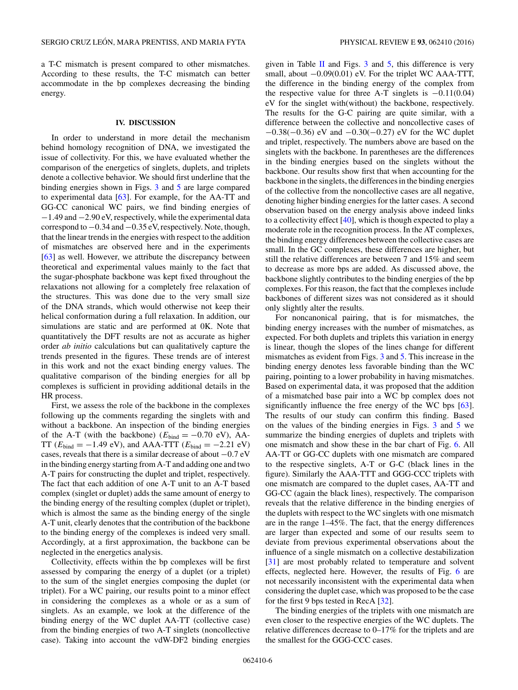<span id="page-5-0"></span>a T-C mismatch is present compared to other mismatches. According to these results, the T-C mismatch can better accommodate in the bp complexes decreasing the binding energy.

### **IV. DISCUSSION**

In order to understand in more detail the mechanism behind homology recognition of DNA, we investigated the issue of collectivity. For this, we have evaluated whether the comparison of the energetics of singlets, duplets, and triplets denote a collective behavior. We should first underline that the binding energies shown in Figs. [3](#page-3-0) and [5](#page-4-0) are large compared to experimental data  $[63]$ . For example, for the AA-TT and GG-CC canonical WC pairs, we find binding energies of −1*.*49 and −2*.*90 eV, respectively, while the experimental data correspond to −0*.*34 and −0*.*35 eV, respectively. Note, though, that the linear trends in the energies with respect to the addition of mismatches are observed here and in the experiments [\[63\]](#page-8-0) as well. However, we attribute the discrepancy between theoretical and experimental values mainly to the fact that the sugar-phosphate backbone was kept fixed throughout the relaxations not allowing for a completely free relaxation of the structures. This was done due to the very small size of the DNA strands, which would otherwise not keep their helical conformation during a full relaxation. In addition, our simulations are static and are performed at 0K. Note that quantitatively the DFT results are not as accurate as higher order *ab initio* calculations but can qualitatively capture the trends presented in the figures. These trends are of interest in this work and not the exact binding energy values. The qualitative comparison of the binding energies for all bp complexes is sufficient in providing additional details in the HR process.

First, we assess the role of the backbone in the complexes following up the comments regarding the singlets with and without a backbone. An inspection of the binding energies of the A-T (with the backbone) ( $E_{bind} = -0.70$  eV), AA-TT ( $E_{bind} = -1.49 \text{ eV}$ ), and AAA-TTT ( $E_{bind} = -2.21 \text{ eV}$ ) cases, reveals that there is a similar decrease of about −0*.*7 eV in the binding energy starting from A-T and adding one and two A-T pairs for constructing the duplet and triplet, respectively. The fact that each addition of one A-T unit to an A-T based complex (singlet or duplet) adds the same amount of energy to the binding energy of the resulting complex (duplet or triplet), which is almost the same as the binding energy of the single A-T unit, clearly denotes that the contribution of the backbone to the binding energy of the complexes is indeed very small. Accordingly, at a first approximation, the backbone can be neglected in the energetics analysis.

Collectivity, effects within the bp complexes will be first assessed by comparing the energy of a duplet (or a triplet) to the sum of the singlet energies composing the duplet (or triplet). For a WC pairing, our results point to a minor effect in considering the complexes as a whole or as a sum of singlets. As an example, we look at the difference of the binding energy of the WC duplet AA-TT (collective case) from the binding energies of two A-T singlets (noncollective case). Taking into account the vdW-DF2 binding energies

given in Table [II](#page-2-0) and Figs. [3](#page-3-0) and [5,](#page-4-0) this difference is very small, about  $-0.09(0.01)$  eV. For the triplet WC AAA-TTT, the difference in the binding energy of the complex from the respective value for three A-T singlets is −0*.*11(0.04) eV for the singlet with(without) the backbone, respectively. The results for the G-C pairing are quite similar, with a difference between the collective and noncollective cases of −0*.*38(−0*.*36) eV and −0*.*30(−0*.*27) eV for the WC duplet and triplet, respectively. The numbers above are based on the singlets with the backbone. In parentheses are the differences in the binding energies based on the singlets without the backbone. Our results show first that when accounting for the backbone in the singlets, the differences in the binding energies of the collective from the noncollective cases are all negative, denoting higher binding energies for the latter cases. A second observation based on the energy analysis above indeed links to a collectivity effect [\[40\]](#page-7-0), which is though expected to play a moderate role in the recognition process. In the AT complexes, the binding energy differences between the collective cases are small. In the GC complexes, these differences are higher, but still the relative differences are between 7 and 15% and seem to decrease as more bps are added. As discussed above, the backbone slightly contributes to the binding energies of the bp complexes. For this reason, the fact that the complexes include backbones of different sizes was not considered as it should only slightly alter the results.

For noncanonical pairing, that is for mismatches, the binding energy increases with the number of mismatches, as expected. For both duplets and triplets this variation in energy is linear, though the slopes of the lines change for different mismatches as evident from Figs. [3](#page-3-0) and [5.](#page-4-0) This increase in the binding energy denotes less favorable binding than the WC pairing, pointing to a lower probability in having mismatches. Based on experimental data, it was proposed that the addition of a mismatched base pair into a WC bp complex does not significantly influence the free energy of the WC bps [\[63\]](#page-8-0). The results of our study can confirm this finding. Based on the values of the binding energies in Figs. [3](#page-3-0) and [5](#page-4-0) we summarize the binding energies of duplets and triplets with one mismatch and show these in the bar chart of Fig. [6.](#page-6-0) All AA-TT or GG-CC duplets with one mismatch are compared to the respective singlets, A-T or G-C (black lines in the figure). Similarly the AAA-TTT and GGG-CCC triplets with one mismatch are compared to the duplet cases, AA-TT and GG-CC (again the black lines), respectively. The comparison reveals that the relative difference in the binding energies of the duplets with respect to the WC singlets with one mismatch are in the range 1–45%. The fact, that the energy differences are larger than expected and some of our results seem to deviate from previous experimental observations about the influence of a single mismatch on a collective destabilization [\[31\]](#page-7-0) are most probably related to temperature and solvent effects, neglected here. However, the results of Fig. [6](#page-6-0) are not necessarily inconsistent with the experimental data when considering the duplet case, which was proposed to be the case for the first 9 bps tested in RecA [\[32\]](#page-7-0).

The binding energies of the triplets with one mismatch are even closer to the respective energies of the WC duplets. The relative differences decrease to 0–17% for the triplets and are the smallest for the GGG-CCC cases.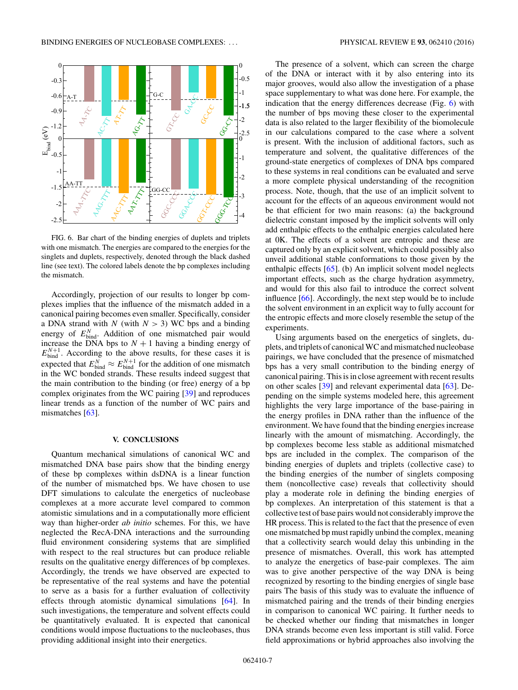<span id="page-6-0"></span>

FIG. 6. Bar chart of the binding energies of duplets and triplets with one mismatch. The energies are compared to the energies for the singlets and duplets, respectively, denoted through the black dashed line (see text). The colored labels denote the bp complexes including the mismatch.

Accordingly, projection of our results to longer bp complexes implies that the influence of the mismatch added in a canonical pairing becomes even smaller. Specifically, consider a DNA strand with *N* (with *N >* 3) WC bps and a binding energy of  $E_{\text{bind}}^N$ . Addition of one mismatched pair would increase the DNA bps to  $N + 1$  having a binding energy of  $E_{\text{bind}}^{N+1}$ . According to the above results, for these cases it is expected that  $E_{\text{bind}}^N \approx E_{\text{bind}}^{N+1}$  for the addition of one mismatch in the WC bonded strands. These results indeed suggest that the main contribution to the binding (or free) energy of a bp complex originates from the WC pairing [\[39\]](#page-7-0) and reproduces linear trends as a function of the number of WC pairs and mismatches [\[63\]](#page-8-0).

### **V. CONCLUSIONS**

Quantum mechanical simulations of canonical WC and mismatched DNA base pairs show that the binding energy of these bp complexes within dsDNA is a linear function of the number of mismatched bps. We have chosen to use DFT simulations to calculate the energetics of nucleobase complexes at a more accurate level compared to common atomistic simulations and in a computationally more efficient way than higher-order *ab initio* schemes. For this, we have neglected the RecA-DNA interactions and the surrounding fluid environment considering systems that are simplified with respect to the real structures but can produce reliable results on the qualitative energy differences of bp complexes. Accordingly, the trends we have observed are expected to be representative of the real systems and have the potential to serve as a basis for a further evaluation of collectivity effects through atomistic dynamical simulations [\[64\]](#page-8-0). In such investigations, the temperature and solvent effects could be quantitatively evaluated. It is expected that canonical conditions would impose fluctuations to the nucleobases, thus providing additional insight into their energetics.

The presence of a solvent, which can screen the charge of the DNA or interact with it by also entering into its major grooves, would also allow the investigation of a phase space supplementary to what was done here. For example, the indication that the energy differences decrease (Fig. 6) with the number of bps moving these closer to the experimental data is also related to the larger flexibility of the biomolecule in our calculations compared to the case where a solvent is present. With the inclusion of additional factors, such as temperature and solvent, the qualitative differences of the ground-state energetics of complexes of DNA bps compared to these systems in real conditions can be evaluated and serve a more complete physical understanding of the recognition process. Note, though, that the use of an implicit solvent to account for the effects of an aqueous environment would not be that efficient for two main reasons: (a) the background dielectric constant imposed by the implicit solvents will only add enthalpic effects to the enthalpic energies calculated here at 0K. The effects of a solvent are entropic and these are captured only by an explicit solvent, which could possibly also unveil additional stable conformations to those given by the enthalpic effects [\[65\]](#page-8-0). (b) An implicit solvent model neglects important effects, such as the charge hydration asymmetry, and would for this also fail to introduce the correct solvent influence [\[66\]](#page-8-0). Accordingly, the next step would be to include the solvent environment in an explicit way to fully account for the entropic effects and more closely resemble the setup of the experiments.

Using arguments based on the energetics of singlets, duplets, and triplets of canonical WC and mismatched nucleobase pairings, we have concluded that the presence of mismatched bps has a very small contribution to the binding energy of canonical pairing. This is in close agreement with recent results on other scales [\[39\]](#page-7-0) and relevant experimental data [\[63\]](#page-8-0). Depending on the simple systems modeled here, this agreement highlights the very large importance of the base-pairing in the energy profiles in DNA rather than the influence of the environment. We have found that the binding energies increase linearly with the amount of mismatching. Accordingly, the bp complexes become less stable as additional mismatched bps are included in the complex. The comparison of the binding energies of duplets and triplets (collective case) to the binding energies of the number of singlets composing them (noncollective case) reveals that collectivity should play a moderate role in defining the binding energies of bp complexes. An interpretation of this statement is that a collective test of base pairs would not considerably improve the HR process. This is related to the fact that the presence of even one mismatched bp must rapidly unbind the complex, meaning that a collectivity search would delay this unbinding in the presence of mismatches. Overall, this work has attempted to analyze the energetics of base-pair complexes. The aim was to give another perspective of the way DNA is being recognized by resorting to the binding energies of single base pairs The basis of this study was to evaluate the influence of mismatched pairing and the trends of their binding energies in comparison to canonical WC pairing. It further needs to be checked whether our finding that mismatches in longer DNA strands become even less important is still valid. Force field approximations or hybrid approaches also involving the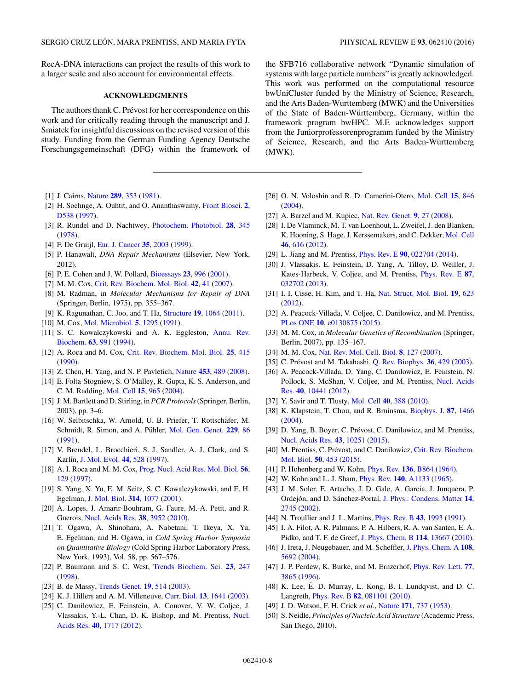<span id="page-7-0"></span>RecA-DNA interactions can project the results of this work to a larger scale and also account for environmental effects.

# **ACKNOWLEDGMENTS**

The authors thank C. Prévost for her correspondence on this work and for critically reading through the manuscript and J. Smiatek for insightful discussions on the revised version of this study. Funding from the German Funding Agency Deutsche Forschungsgemeinschaft (DFG) within the framework of

- [1] J. Cairns, [Nature](http://dx.doi.org/10.1038/289353a0) **[289](http://dx.doi.org/10.1038/289353a0)**, [353](http://dx.doi.org/10.1038/289353a0) [\(1981\)](http://dx.doi.org/10.1038/289353a0).
- [2] H. Soehnge, A. Ouhtit, and O. Ananthaswamy, [Front Biosci.](http://dx.doi.org/10.2741/A211) **[2](http://dx.doi.org/10.2741/A211)**, [D538](http://dx.doi.org/10.2741/A211) [\(1997\)](http://dx.doi.org/10.2741/A211).
- [3] R. Rundel and D. Nachtwey, [Photochem. Photobiol.](http://dx.doi.org/10.1111/j.1751-1097.1978.tb07717.x) **[28](http://dx.doi.org/10.1111/j.1751-1097.1978.tb07717.x)**, [345](http://dx.doi.org/10.1111/j.1751-1097.1978.tb07717.x) [\(1978\)](http://dx.doi.org/10.1111/j.1751-1097.1978.tb07717.x).
- [4] F. De Gruijl, [Eur. J. Cancer](http://dx.doi.org/10.1016/S0959-8049(99)00283-X) **[35](http://dx.doi.org/10.1016/S0959-8049(99)00283-X)**, [2003](http://dx.doi.org/10.1016/S0959-8049(99)00283-X) [\(1999\)](http://dx.doi.org/10.1016/S0959-8049(99)00283-X).
- [5] P. Hanawalt, *DNA Repair Mechanisms* (Elsevier, New York, 2012).
- [6] P. E. Cohen and J. W. Pollard, [Bioessays](http://dx.doi.org/10.1002/bies.1145) **[23](http://dx.doi.org/10.1002/bies.1145)**, [996](http://dx.doi.org/10.1002/bies.1145) [\(2001\)](http://dx.doi.org/10.1002/bies.1145).
- [7] M. M. Cox, [Crit. Rev. Biochem. Mol. Biol.](http://dx.doi.org/10.1080/10409230701260258) **[42](http://dx.doi.org/10.1080/10409230701260258)**, [41](http://dx.doi.org/10.1080/10409230701260258) [\(2007\)](http://dx.doi.org/10.1080/10409230701260258).
- [8] M. Radman, in *Molecular Mechanisms for Repair of DNA* (Springer, Berlin, 1975), pp. 355–367.
- [9] K. Ragunathan, C. Joo, and T. Ha, [Structure](http://dx.doi.org/10.1016/j.str.2011.06.009) **[19](http://dx.doi.org/10.1016/j.str.2011.06.009)**, [1064](http://dx.doi.org/10.1016/j.str.2011.06.009) [\(2011\)](http://dx.doi.org/10.1016/j.str.2011.06.009).
- [10] M. Cox, [Mol. Microbiol.](http://dx.doi.org/10.1111/j.1365-2958.1991.tb00775.x) **[5](http://dx.doi.org/10.1111/j.1365-2958.1991.tb00775.x)**, [1295](http://dx.doi.org/10.1111/j.1365-2958.1991.tb00775.x) [\(1991\)](http://dx.doi.org/10.1111/j.1365-2958.1991.tb00775.x).
- [11] [S. C. Kowalczykowski and A. K. Eggleston,](http://dx.doi.org/10.1146/annurev.bi.63.070194.005015) Annu. Rev. Biochem. **[63](http://dx.doi.org/10.1146/annurev.bi.63.070194.005015)**, [991](http://dx.doi.org/10.1146/annurev.bi.63.070194.005015) [\(1994\)](http://dx.doi.org/10.1146/annurev.bi.63.070194.005015).
- [12] A. Roca and M. Cox, [Crit. Rev. Biochem. Mol. Biol.](http://dx.doi.org/10.3109/10409239009090617) **[25](http://dx.doi.org/10.3109/10409239009090617)**, [415](http://dx.doi.org/10.3109/10409239009090617) [\(1990\)](http://dx.doi.org/10.3109/10409239009090617).
- [13] Z. Chen, H. Yang, and N. P. Pavletich, [Nature](http://dx.doi.org/10.1038/nature06971) **[453](http://dx.doi.org/10.1038/nature06971)**, [489](http://dx.doi.org/10.1038/nature06971) [\(2008\)](http://dx.doi.org/10.1038/nature06971).
- [14] E. Folta-Stogniew, S. O'Malley, R. Gupta, K. S. Anderson, and C. M. Radding, [Mol. Cell](http://dx.doi.org/10.1016/j.molcel.2004.08.017) **[15](http://dx.doi.org/10.1016/j.molcel.2004.08.017)**, [965](http://dx.doi.org/10.1016/j.molcel.2004.08.017) [\(2004\)](http://dx.doi.org/10.1016/j.molcel.2004.08.017).
- [15] J. M. Bartlett and D. Stirling, in *PCR Protocols*(Springer, Berlin, 2003), pp. 3–6.
- [16] W. Selbitschka, W. Arnold, U. B. Priefer, T. Rottschäfer, M. Schmidt, R. Simon, and A. Pühler, [Mol. Gen. Genet.](http://dx.doi.org/10.1007/BF00264217) **[229](http://dx.doi.org/10.1007/BF00264217)**, [86](http://dx.doi.org/10.1007/BF00264217) [\(1991\)](http://dx.doi.org/10.1007/BF00264217).
- [17] V. Brendel, L. Brocchieri, S. J. Sandler, A. J. Clark, and S. Karlin, [J. Mol. Evol.](http://dx.doi.org/10.1007/PL00006177) **[44](http://dx.doi.org/10.1007/PL00006177)**, [528](http://dx.doi.org/10.1007/PL00006177) [\(1997\)](http://dx.doi.org/10.1007/PL00006177).
- [18] A. I. Roca and M. M. Cox, [Prog. Nucl. Acid Res. Mol. Biol.](http://dx.doi.org/10.1016/S0079-6603(08)61005-3) **[56](http://dx.doi.org/10.1016/S0079-6603(08)61005-3)**, [129](http://dx.doi.org/10.1016/S0079-6603(08)61005-3) [\(1997\)](http://dx.doi.org/10.1016/S0079-6603(08)61005-3).
- [19] S. Yang, X. Yu, E. M. Seitz, S. C. Kowalczykowski, and E. H. Egelman, [J. Mol. Biol.](http://dx.doi.org/10.1006/jmbi.2000.5213) **[314](http://dx.doi.org/10.1006/jmbi.2000.5213)**, [1077](http://dx.doi.org/10.1006/jmbi.2000.5213) [\(2001\)](http://dx.doi.org/10.1006/jmbi.2000.5213).
- [20] A. Lopes, J. Amarir-Bouhram, G. Faure, M.-A. Petit, and R. Guerois, [Nucl. Acids Res.](http://dx.doi.org/10.1093/nar/gkq096) **[38](http://dx.doi.org/10.1093/nar/gkq096)**, [3952](http://dx.doi.org/10.1093/nar/gkq096) [\(2010\)](http://dx.doi.org/10.1093/nar/gkq096).
- [21] T. Ogawa, A. Shinohara, A. Nabetani, T. Ikeya, X. Yu, E. Egelman, and H. Ogawa, in *Cold Spring Harbor Symposia on Quantitative Biology* (Cold Spring Harbor Laboratory Press, New York, 1993), Vol. 58, pp. 567–576.
- [22] P. Baumann and S. C. West, [Trends Biochem. Sci.](http://dx.doi.org/10.1016/S0968-0004(98)01232-8) **[23](http://dx.doi.org/10.1016/S0968-0004(98)01232-8)**, [247](http://dx.doi.org/10.1016/S0968-0004(98)01232-8) [\(1998\)](http://dx.doi.org/10.1016/S0968-0004(98)01232-8).
- [23] B. de Massy, [Trends Genet.](http://dx.doi.org/10.1016/S0168-9525(03)00201-4) **[19](http://dx.doi.org/10.1016/S0168-9525(03)00201-4)**, [514](http://dx.doi.org/10.1016/S0168-9525(03)00201-4) [\(2003\)](http://dx.doi.org/10.1016/S0168-9525(03)00201-4).
- [24] K. J. Hillers and A. M. Villeneuve, [Curr. Biol.](http://dx.doi.org/10.1016/j.cub.2003.08.026) **[13](http://dx.doi.org/10.1016/j.cub.2003.08.026)**, [1641](http://dx.doi.org/10.1016/j.cub.2003.08.026) [\(2003\)](http://dx.doi.org/10.1016/j.cub.2003.08.026).
- [25] C. Danilowicz, E. Feinstein, A. Conover, V. W. Coljee, J. [Vlassakis, Y.-L. Chan, D. K. Bishop, and M. Prentiss,](http://dx.doi.org/10.1093/nar/gkr855) Nucl. Acids Res. **[40](http://dx.doi.org/10.1093/nar/gkr855)**, [1717](http://dx.doi.org/10.1093/nar/gkr855) [\(2012\)](http://dx.doi.org/10.1093/nar/gkr855).

the SFB716 collaborative network "Dynamic simulation of systems with large particle numbers" is greatly acknowledged. This work was performed on the computational resource bwUniCluster funded by the Ministry of Science, Research, and the Arts Baden-Württemberg (MWK) and the Universities of the State of Baden-Württemberg, Germany, within the framework program bwHPC. M.F. acknowledges support from the Juniorprofessorenprogramm funded by the Ministry of Science, Research, and the Arts Baden-Württemberg (MWK).

- [26] O. N. Voloshin and R. D. Camerini-Otero, [Mol. Cell](http://dx.doi.org/10.1016/j.molcel.2004.09.010) **[15](http://dx.doi.org/10.1016/j.molcel.2004.09.010)**, [846](http://dx.doi.org/10.1016/j.molcel.2004.09.010) [\(2004\)](http://dx.doi.org/10.1016/j.molcel.2004.09.010).
- [27] A. Barzel and M. Kupiec, [Nat. Rev. Genet.](http://dx.doi.org/10.1038/nrg2224) **[9](http://dx.doi.org/10.1038/nrg2224)**, [27](http://dx.doi.org/10.1038/nrg2224) [\(2008\)](http://dx.doi.org/10.1038/nrg2224).
- [28] I. De Vlaminck, M. T. van Loenhout, L. Zweifel, J. den Blanken, K. Hooning, S. Hage, J. Kerssemakers, and C. Dekker, [Mol. Cell](http://dx.doi.org/10.1016/j.molcel.2012.03.029) **[46](http://dx.doi.org/10.1016/j.molcel.2012.03.029)**, [616](http://dx.doi.org/10.1016/j.molcel.2012.03.029) [\(2012\)](http://dx.doi.org/10.1016/j.molcel.2012.03.029).
- [29] L. Jiang and M. Prentiss, [Phys. Rev. E](http://dx.doi.org/10.1103/PhysRevE.90.022704) **[90](http://dx.doi.org/10.1103/PhysRevE.90.022704)**, [022704](http://dx.doi.org/10.1103/PhysRevE.90.022704) [\(2014\)](http://dx.doi.org/10.1103/PhysRevE.90.022704).
- [30] J. Vlassakis, E. Feinstein, D. Yang, A. Tilloy, D. Weiller, J. Kates-Harbeck, V. Coljee, and M. Prentiss, [Phys. Rev. E](http://dx.doi.org/10.1103/PhysRevE.87.032702) **[87](http://dx.doi.org/10.1103/PhysRevE.87.032702)**, [032702](http://dx.doi.org/10.1103/PhysRevE.87.032702) [\(2013\)](http://dx.doi.org/10.1103/PhysRevE.87.032702).
- [31] I. I. Cisse, H. Kim, and T. Ha, [Nat. Struct. Mol. Biol.](http://dx.doi.org/10.1038/nsmb.2294) **[19](http://dx.doi.org/10.1038/nsmb.2294)**, [623](http://dx.doi.org/10.1038/nsmb.2294) [\(2012\)](http://dx.doi.org/10.1038/nsmb.2294).
- [32] A. Peacock-Villada, V. Coljee, C. Danilowicz, and M. Prentiss, [PLos ONE](http://dx.doi.org/10.1371/journal.pone.0130875) **[10](http://dx.doi.org/10.1371/journal.pone.0130875)**, [e0130875](http://dx.doi.org/10.1371/journal.pone.0130875) [\(2015\)](http://dx.doi.org/10.1371/journal.pone.0130875).
- [33] M. M. Cox, in *Molecular Genetics of Recombination* (Springer, Berlin, 2007), pp. 135–167.
- [34] M. M. Cox, [Nat. Rev. Mol. Cell. Biol.](http://dx.doi.org/10.1038/nrm2099) **[8](http://dx.doi.org/10.1038/nrm2099)**, [127](http://dx.doi.org/10.1038/nrm2099) [\(2007\)](http://dx.doi.org/10.1038/nrm2099).
- [35] C. Prévost and M. Takahashi, [Q. Rev. Biophys.](http://dx.doi.org/10.1017/S0033583504003956) **[36](http://dx.doi.org/10.1017/S0033583504003956)**, [429](http://dx.doi.org/10.1017/S0033583504003956) [\(2003\)](http://dx.doi.org/10.1017/S0033583504003956).
- [36] A. Peacock-Villada, D. Yang, C. Danilowicz, E. Feinstein, N. [Pollock, S. McShan, V. Coljee, and M. Prentiss,](http://dx.doi.org/10.1093/nar/gks769) Nucl. Acids Res. **[40](http://dx.doi.org/10.1093/nar/gks769)**, [10441](http://dx.doi.org/10.1093/nar/gks769) [\(2012\)](http://dx.doi.org/10.1093/nar/gks769).
- [37] Y. Savir and T. Tlusty, [Mol. Cell](http://dx.doi.org/10.1016/j.molcel.2010.10.020) **[40](http://dx.doi.org/10.1016/j.molcel.2010.10.020)**, [388](http://dx.doi.org/10.1016/j.molcel.2010.10.020) [\(2010\)](http://dx.doi.org/10.1016/j.molcel.2010.10.020).
- [38] K. Klapstein, T. Chou, and R. Bruinsma, [Biophys. J.](http://dx.doi.org/10.1529/biophysj.104.039578) **[87](http://dx.doi.org/10.1529/biophysj.104.039578)**, [1466](http://dx.doi.org/10.1529/biophysj.104.039578) [\(2004\)](http://dx.doi.org/10.1529/biophysj.104.039578).
- [39] D. Yang, B. Boyer, C. Prévost, C. Danilowicz, and M. Prentiss, [Nucl. Acids Res.](http://dx.doi.org/10.1093/nar/gkv883) **[43](http://dx.doi.org/10.1093/nar/gkv883)**, [10251](http://dx.doi.org/10.1093/nar/gkv883) [\(2015\)](http://dx.doi.org/10.1093/nar/gkv883).
- [40] M. Prentiss, C. Prévost, and C. Danilowicz, Crit. Rev. Biochem. Mol. Biol. **[50](http://dx.doi.org/10.3109/10409238.2015.1092943)**, [453](http://dx.doi.org/10.3109/10409238.2015.1092943) [\(2015\)](http://dx.doi.org/10.3109/10409238.2015.1092943).
- [41] P. Hohenberg and W. Kohn, [Phys. Rev.](http://dx.doi.org/10.1103/PhysRev.136.B864) **[136](http://dx.doi.org/10.1103/PhysRev.136.B864)**, [B864](http://dx.doi.org/10.1103/PhysRev.136.B864) [\(1964\)](http://dx.doi.org/10.1103/PhysRev.136.B864).
- [42] W. Kohn and L. J. Sham, [Phys. Rev.](http://dx.doi.org/10.1103/PhysRev.140.A1133) **[140](http://dx.doi.org/10.1103/PhysRev.140.A1133)**, [A1133](http://dx.doi.org/10.1103/PhysRev.140.A1133) [\(1965\)](http://dx.doi.org/10.1103/PhysRev.140.A1133).
- [43] J. M. Soler, E. Artacho, J. D. Gale, A. García, J. Junquera, P. Ordejón, and D. Sánchez-Portal, [J. Phys.: Condens. Matter](http://dx.doi.org/10.1088/0953-8984/14/11/302) [14](http://dx.doi.org/10.1088/0953-8984/14/11/302), [2745](http://dx.doi.org/10.1088/0953-8984/14/11/302) [\(2002\)](http://dx.doi.org/10.1088/0953-8984/14/11/302).
- [44] N. Troullier and J. L. Martins, [Phys. Rev. B](http://dx.doi.org/10.1103/PhysRevB.43.1993) **[43](http://dx.doi.org/10.1103/PhysRevB.43.1993)**, [1993](http://dx.doi.org/10.1103/PhysRevB.43.1993) [\(1991\)](http://dx.doi.org/10.1103/PhysRevB.43.1993).
- [45] I. A. Filot, A. R. Palmans, P. A. Hilbers, R. A. van Santen, E. A. Pidko, and T. F. de Greef, [J. Phys. Chem. B](http://dx.doi.org/10.1021/jp1072928) **[114](http://dx.doi.org/10.1021/jp1072928)**, [13667](http://dx.doi.org/10.1021/jp1072928) [\(2010\)](http://dx.doi.org/10.1021/jp1072928).
- [46] J. Ireta, J. Neugebauer, and M. Scheffler, [J. Phys. Chem. A](http://dx.doi.org/10.1021/jp0377073) **[108](http://dx.doi.org/10.1021/jp0377073)**, [5692](http://dx.doi.org/10.1021/jp0377073) [\(2004\)](http://dx.doi.org/10.1021/jp0377073).
- [47] J. P. Perdew, K. Burke, and M. Ernzerhof, [Phys. Rev. Lett.](http://dx.doi.org/10.1103/PhysRevLett.77.3865) **[77](http://dx.doi.org/10.1103/PhysRevLett.77.3865)**, [3865](http://dx.doi.org/10.1103/PhysRevLett.77.3865) [\(1996\)](http://dx.doi.org/10.1103/PhysRevLett.77.3865).
- [48] K. Lee, É. D. Murray, L. Kong, B. I. Lundqvist, and D. C. Langreth, [Phys. Rev. B](http://dx.doi.org/10.1103/PhysRevB.82.081101) **[82](http://dx.doi.org/10.1103/PhysRevB.82.081101)**, [081101](http://dx.doi.org/10.1103/PhysRevB.82.081101) [\(2010\)](http://dx.doi.org/10.1103/PhysRevB.82.081101).
- [49] J. D. Watson, F. H. Crick *et al.*, [Nature](http://dx.doi.org/10.1038/171737a0) **[171](http://dx.doi.org/10.1038/171737a0)**, [737](http://dx.doi.org/10.1038/171737a0) [\(1953\)](http://dx.doi.org/10.1038/171737a0).
- [50] S. Neidle, *Principles of Nucleic Acid Structure* (Academic Press, San Diego, 2010).